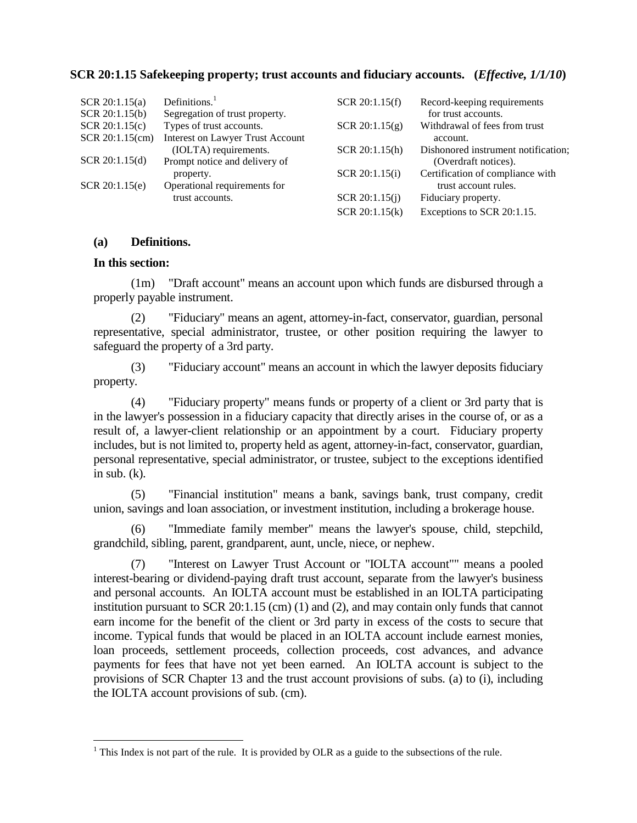## **SCR 20:1.15 Safekeeping property; trust accounts and fiduciary accounts. (***Effective, 1/1/10***)**

| SCR 20:1.15(a)  | Definitions. $1$                        | SCR 20:1.15(f)   | Record-keeping requirements         |
|-----------------|-----------------------------------------|------------------|-------------------------------------|
| SCR 20:1.15(b)  | Segregation of trust property.          |                  | for trust accounts.                 |
| SCR 20:1.15(c)  | Types of trust accounts.                | SCR 20:1.15(g)   | Withdrawal of fees from trust       |
| SCR 20:1.15(cm) | <b>Interest on Lawyer Trust Account</b> |                  | account.                            |
|                 | (IOLTA) requirements.                   | SCR 20:1.15(h)   | Dishonored instrument notification; |
| SCR 20:1.15(d)  | Prompt notice and delivery of           |                  | (Overdraft notices).                |
|                 | property.                               | SCR 20:1.15(i)   | Certification of compliance with    |
| SCR 20:1.15(e)  | Operational requirements for            |                  | trust account rules.                |
|                 | trust accounts.                         | SCR $20:1.15(j)$ | Fiduciary property.                 |
|                 |                                         | SCR 20:1.15(k)   | Exceptions to SCR 20:1.15.          |

## **(a) Definitions.**

## **In this section:**

(1m) "Draft account" means an account upon which funds are disbursed through a properly payable instrument.

(2) "Fiduciary" means an agent, attorney-in-fact, conservator, guardian, personal representative, special administrator, trustee, or other position requiring the lawyer to safeguard the property of a 3rd party.

(3) "Fiduciary account" means an account in which the lawyer deposits fiduciary property.

(4) "Fiduciary property" means funds or property of a client or 3rd party that is in the lawyer's possession in a fiduciary capacity that directly arises in the course of, or as a result of, a lawyer-client relationship or an appointment by a court. Fiduciary property includes, but is not limited to, property held as agent, attorney-in-fact, conservator, guardian, personal representative, special administrator, or trustee, subject to the exceptions identified in sub.  $(k)$ .

(5) "Financial institution" means a bank, savings bank, trust company, credit union, savings and loan association, or investment institution, including a brokerage house.

(6) "Immediate family member" means the lawyer's spouse, child, stepchild, grandchild, sibling, parent, grandparent, aunt, uncle, niece, or nephew.

(7) "Interest on Lawyer Trust Account or "IOLTA account"" means a pooled interest-bearing or dividend-paying draft trust account, separate from the lawyer's business and personal accounts. An IOLTA account must be established in an IOLTA participating institution pursuant to SCR 20:1.15 (cm) (1) and (2), and may contain only funds that cannot earn income for the benefit of the client or 3rd party in excess of the costs to secure that income. Typical funds that would be placed in an IOLTA account include earnest monies, loan proceeds, settlement proceeds, collection proceeds, cost advances, and advance payments for fees that have not yet been earned. An IOLTA account is subject to the provisions of SCR Chapter 13 and the trust account provisions of subs. (a) to (i), including the IOLTA account provisions of sub. (cm).

<sup>&</sup>lt;sup>1</sup> This Index is not part of the rule. It is provided by OLR as a guide to the subsections of the rule.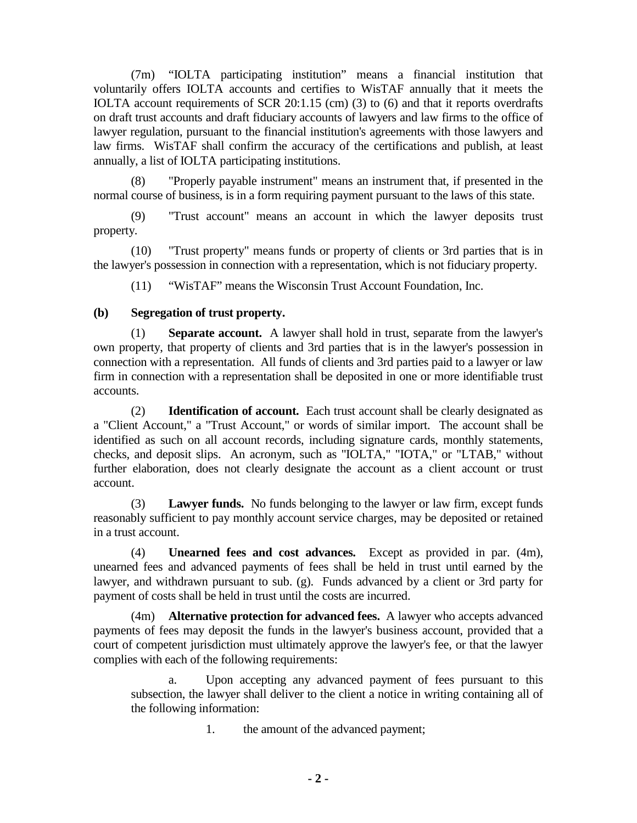(7m) "IOLTA participating institution" means a financial institution that voluntarily offers IOLTA accounts and certifies to WisTAF annually that it meets the IOLTA account requirements of SCR 20:1.15 (cm) (3) to (6) and that it reports overdrafts on draft trust accounts and draft fiduciary accounts of lawyers and law firms to the office of lawyer regulation, pursuant to the financial institution's agreements with those lawyers and law firms. WisTAF shall confirm the accuracy of the certifications and publish, at least annually, a list of IOLTA participating institutions.

(8) "Properly payable instrument" means an instrument that, if presented in the normal course of business, is in a form requiring payment pursuant to the laws of this state.

(9) "Trust account" means an account in which the lawyer deposits trust property.

(10) "Trust property" means funds or property of clients or 3rd parties that is in the lawyer's possession in connection with a representation, which is not fiduciary property.

(11) "WisTAF" means the Wisconsin Trust Account Foundation, Inc.

# **(b) Segregation of trust property.**

(1) **Separate account.** A lawyer shall hold in trust, separate from the lawyer's own property, that property of clients and 3rd parties that is in the lawyer's possession in connection with a representation. All funds of clients and 3rd parties paid to a lawyer or law firm in connection with a representation shall be deposited in one or more identifiable trust accounts.

(2) **Identification of account.** Each trust account shall be clearly designated as a "Client Account," a "Trust Account," or words of similar import. The account shall be identified as such on all account records, including signature cards, monthly statements, checks, and deposit slips. An acronym, such as "IOLTA," "IOTA," or "LTAB," without further elaboration, does not clearly designate the account as a client account or trust account.

(3) **Lawyer funds.** No funds belonging to the lawyer or law firm, except funds reasonably sufficient to pay monthly account service charges, may be deposited or retained in a trust account.

(4) **Unearned fees and cost advances.** Except as provided in par. (4m), unearned fees and advanced payments of fees shall be held in trust until earned by the lawyer, and withdrawn pursuant to sub. (g). Funds advanced by a client or 3rd party for payment of costs shall be held in trust until the costs are incurred.

(4m) **Alternative protection for advanced fees.** A lawyer who accepts advanced payments of fees may deposit the funds in the lawyer's business account, provided that a court of competent jurisdiction must ultimately approve the lawyer's fee, or that the lawyer complies with each of the following requirements:

a. Upon accepting any advanced payment of fees pursuant to this subsection, the lawyer shall deliver to the client a notice in writing containing all of the following information:

1. the amount of the advanced payment;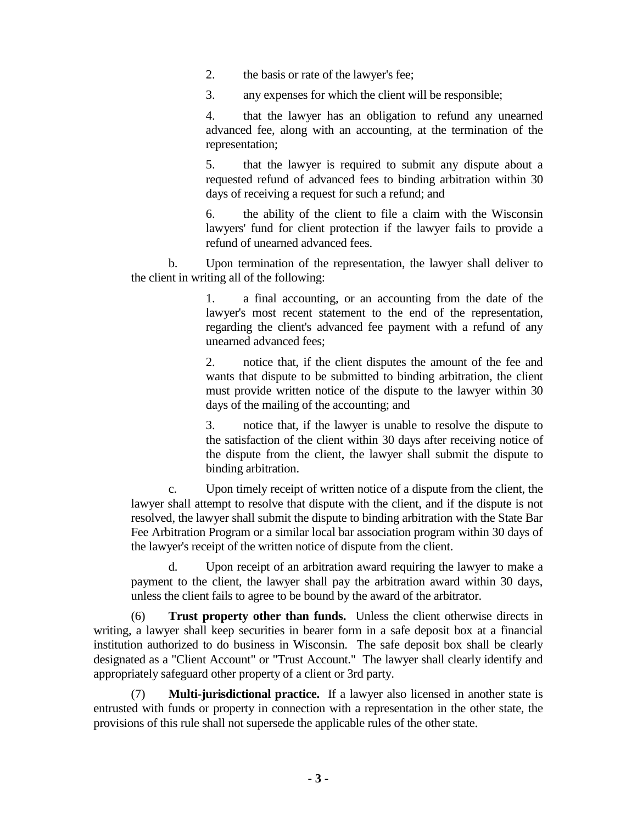2. the basis or rate of the lawyer's fee;

3. any expenses for which the client will be responsible;

4. that the lawyer has an obligation to refund any unearned advanced fee, along with an accounting, at the termination of the representation;

5. that the lawyer is required to submit any dispute about a requested refund of advanced fees to binding arbitration within 30 days of receiving a request for such a refund; and

6. the ability of the client to file a claim with the Wisconsin lawyers' fund for client protection if the lawyer fails to provide a refund of unearned advanced fees.

b. Upon termination of the representation, the lawyer shall deliver to the client in writing all of the following:

> 1. a final accounting, or an accounting from the date of the lawyer's most recent statement to the end of the representation, regarding the client's advanced fee payment with a refund of any unearned advanced fees;

> 2. notice that, if the client disputes the amount of the fee and wants that dispute to be submitted to binding arbitration, the client must provide written notice of the dispute to the lawyer within 30 days of the mailing of the accounting; and

> 3. notice that, if the lawyer is unable to resolve the dispute to the satisfaction of the client within 30 days after receiving notice of the dispute from the client, the lawyer shall submit the dispute to binding arbitration.

c. Upon timely receipt of written notice of a dispute from the client, the lawyer shall attempt to resolve that dispute with the client, and if the dispute is not resolved, the lawyer shall submit the dispute to binding arbitration with the State Bar Fee Arbitration Program or a similar local bar association program within 30 days of the lawyer's receipt of the written notice of dispute from the client.

d. Upon receipt of an arbitration award requiring the lawyer to make a payment to the client, the lawyer shall pay the arbitration award within 30 days, unless the client fails to agree to be bound by the award of the arbitrator.

(6) **Trust property other than funds.** Unless the client otherwise directs in writing, a lawyer shall keep securities in bearer form in a safe deposit box at a financial institution authorized to do business in Wisconsin. The safe deposit box shall be clearly designated as a "Client Account" or "Trust Account." The lawyer shall clearly identify and appropriately safeguard other property of a client or 3rd party.

(7) **Multi-jurisdictional practice.** If a lawyer also licensed in another state is entrusted with funds or property in connection with a representation in the other state, the provisions of this rule shall not supersede the applicable rules of the other state.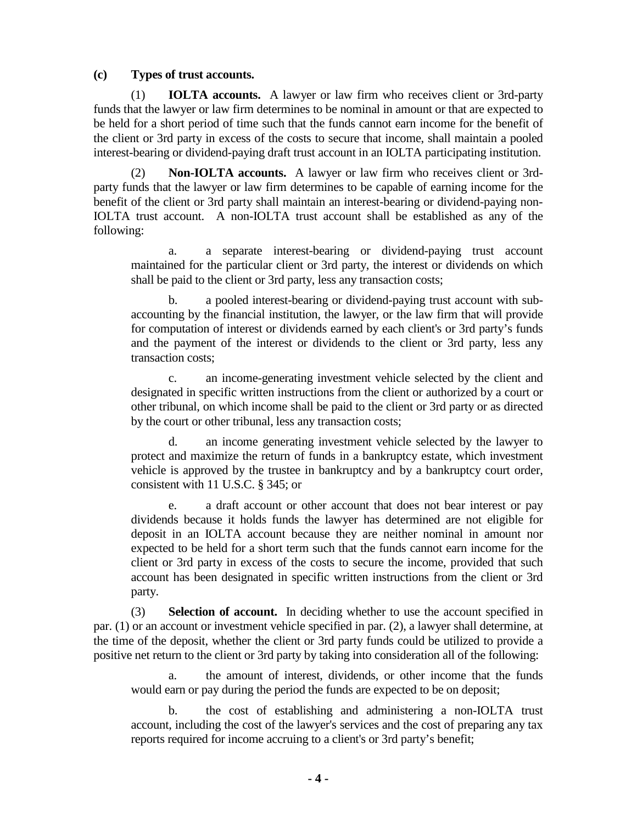## **(c) Types of trust accounts.**

(1) **IOLTA accounts.** A lawyer or law firm who receives client or 3rd-party funds that the lawyer or law firm determines to be nominal in amount or that are expected to be held for a short period of time such that the funds cannot earn income for the benefit of the client or 3rd party in excess of the costs to secure that income, shall maintain a pooled interest-bearing or dividend-paying draft trust account in an IOLTA participating institution.

(2) **Non-IOLTA accounts.** A lawyer or law firm who receives client or 3rdparty funds that the lawyer or law firm determines to be capable of earning income for the benefit of the client or 3rd party shall maintain an interest-bearing or dividend-paying non-IOLTA trust account. A non-IOLTA trust account shall be established as any of the following:

a. a separate interest-bearing or dividend-paying trust account maintained for the particular client or 3rd party, the interest or dividends on which shall be paid to the client or 3rd party, less any transaction costs;

b. a pooled interest-bearing or dividend-paying trust account with subaccounting by the financial institution, the lawyer, or the law firm that will provide for computation of interest or dividends earned by each client's or 3rd party's funds and the payment of the interest or dividends to the client or 3rd party, less any transaction costs;

c. an income-generating investment vehicle selected by the client and designated in specific written instructions from the client or authorized by a court or other tribunal, on which income shall be paid to the client or 3rd party or as directed by the court or other tribunal, less any transaction costs;

d. an income generating investment vehicle selected by the lawyer to protect and maximize the return of funds in a bankruptcy estate, which investment vehicle is approved by the trustee in bankruptcy and by a bankruptcy court order, consistent with 11 U.S.C. § 345; or

e. a draft account or other account that does not bear interest or pay dividends because it holds funds the lawyer has determined are not eligible for deposit in an IOLTA account because they are neither nominal in amount nor expected to be held for a short term such that the funds cannot earn income for the client or 3rd party in excess of the costs to secure the income, provided that such account has been designated in specific written instructions from the client or 3rd party.

(3) **Selection of account.** In deciding whether to use the account specified in par. (1) or an account or investment vehicle specified in par. (2), a lawyer shall determine, at the time of the deposit, whether the client or 3rd party funds could be utilized to provide a positive net return to the client or 3rd party by taking into consideration all of the following:

a. the amount of interest, dividends, or other income that the funds would earn or pay during the period the funds are expected to be on deposit;

b. the cost of establishing and administering a non-IOLTA trust account, including the cost of the lawyer's services and the cost of preparing any tax reports required for income accruing to a client's or 3rd party's benefit;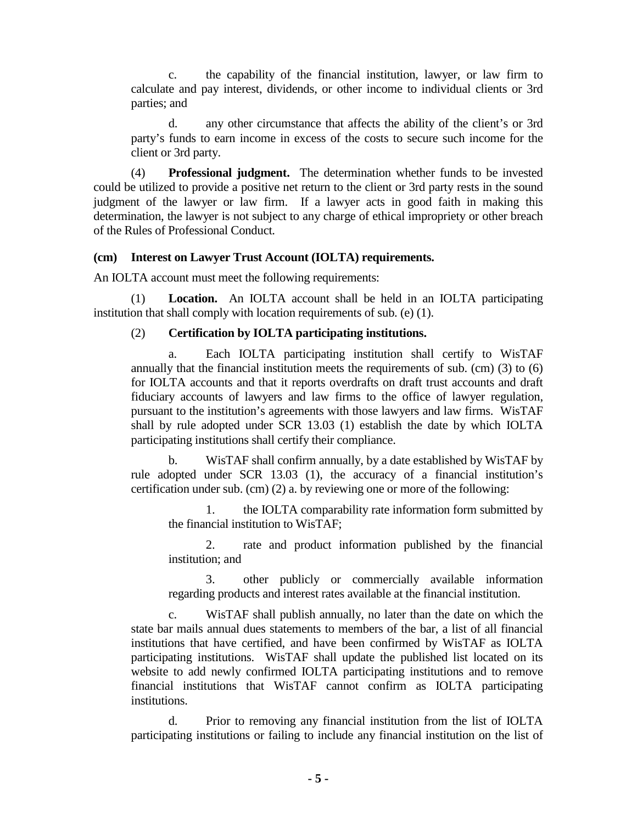c. the capability of the financial institution, lawyer, or law firm to calculate and pay interest, dividends, or other income to individual clients or 3rd parties; and

d. any other circumstance that affects the ability of the client's or 3rd party's funds to earn income in excess of the costs to secure such income for the client or 3rd party.

(4) **Professional judgment.** The determination whether funds to be invested could be utilized to provide a positive net return to the client or 3rd party rests in the sound judgment of the lawyer or law firm. If a lawyer acts in good faith in making this determination, the lawyer is not subject to any charge of ethical impropriety or other breach of the Rules of Professional Conduct.

## **(cm) Interest on Lawyer Trust Account (IOLTA) requirements.**

An IOLTA account must meet the following requirements:

(1) **Location.** An IOLTA account shall be held in an IOLTA participating institution that shall comply with location requirements of sub. (e) (1).

## (2) **Certification by IOLTA participating institutions.**

a. Each IOLTA participating institution shall certify to WisTAF annually that the financial institution meets the requirements of sub. (cm) (3) to (6) for IOLTA accounts and that it reports overdrafts on draft trust accounts and draft fiduciary accounts of lawyers and law firms to the office of lawyer regulation, pursuant to the institution's agreements with those lawyers and law firms. WisTAF shall by rule adopted under SCR 13.03 (1) establish the date by which IOLTA participating institutions shall certify their compliance.

b. WisTAF shall confirm annually, by a date established by WisTAF by rule adopted under SCR 13.03 (1), the accuracy of a financial institution's certification under sub. (cm) (2) a. by reviewing one or more of the following:

1. the IOLTA comparability rate information form submitted by the financial institution to WisTAF;

2. rate and product information published by the financial institution; and

3. other publicly or commercially available information regarding products and interest rates available at the financial institution.

c. WisTAF shall publish annually, no later than the date on which the state bar mails annual dues statements to members of the bar, a list of all financial institutions that have certified, and have been confirmed by WisTAF as IOLTA participating institutions. WisTAF shall update the published list located on its website to add newly confirmed IOLTA participating institutions and to remove financial institutions that WisTAF cannot confirm as IOLTA participating institutions.

d. Prior to removing any financial institution from the list of IOLTA participating institutions or failing to include any financial institution on the list of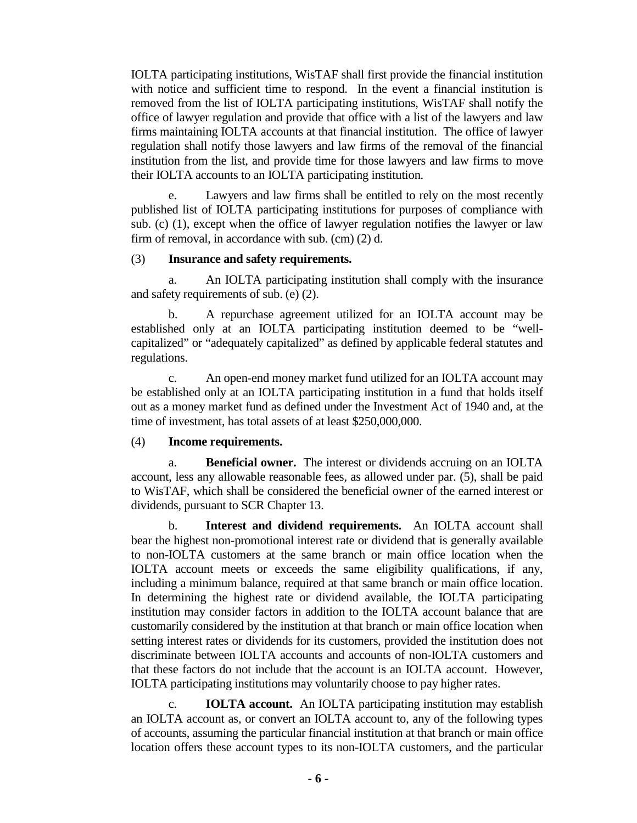IOLTA participating institutions, WisTAF shall first provide the financial institution with notice and sufficient time to respond. In the event a financial institution is removed from the list of IOLTA participating institutions, WisTAF shall notify the office of lawyer regulation and provide that office with a list of the lawyers and law firms maintaining IOLTA accounts at that financial institution. The office of lawyer regulation shall notify those lawyers and law firms of the removal of the financial institution from the list, and provide time for those lawyers and law firms to move their IOLTA accounts to an IOLTA participating institution.

e. Lawyers and law firms shall be entitled to rely on the most recently published list of IOLTA participating institutions for purposes of compliance with sub. (c) (1), except when the office of lawyer regulation notifies the lawyer or law firm of removal, in accordance with sub. (cm) (2) d.

## (3) **Insurance and safety requirements.**

a. An IOLTA participating institution shall comply with the insurance and safety requirements of sub. (e) (2).

b. A repurchase agreement utilized for an IOLTA account may be established only at an IOLTA participating institution deemed to be "wellcapitalized" or "adequately capitalized" as defined by applicable federal statutes and regulations.

c. An open-end money market fund utilized for an IOLTA account may be established only at an IOLTA participating institution in a fund that holds itself out as a money market fund as defined under the Investment Act of 1940 and, at the time of investment, has total assets of at least \$250,000,000.

# (4) **Income requirements.**

a. **Beneficial owner.** The interest or dividends accruing on an IOLTA account, less any allowable reasonable fees, as allowed under par. (5), shall be paid to WisTAF, which shall be considered the beneficial owner of the earned interest or dividends, pursuant to SCR Chapter 13.

b. **Interest and dividend requirements.** An IOLTA account shall bear the highest non-promotional interest rate or dividend that is generally available to non-IOLTA customers at the same branch or main office location when the IOLTA account meets or exceeds the same eligibility qualifications, if any, including a minimum balance, required at that same branch or main office location. In determining the highest rate or dividend available, the IOLTA participating institution may consider factors in addition to the IOLTA account balance that are customarily considered by the institution at that branch or main office location when setting interest rates or dividends for its customers, provided the institution does not discriminate between IOLTA accounts and accounts of non-IOLTA customers and that these factors do not include that the account is an IOLTA account. However, IOLTA participating institutions may voluntarily choose to pay higher rates.

c. **IOLTA account.** An IOLTA participating institution may establish an IOLTA account as, or convert an IOLTA account to, any of the following types of accounts, assuming the particular financial institution at that branch or main office location offers these account types to its non-IOLTA customers, and the particular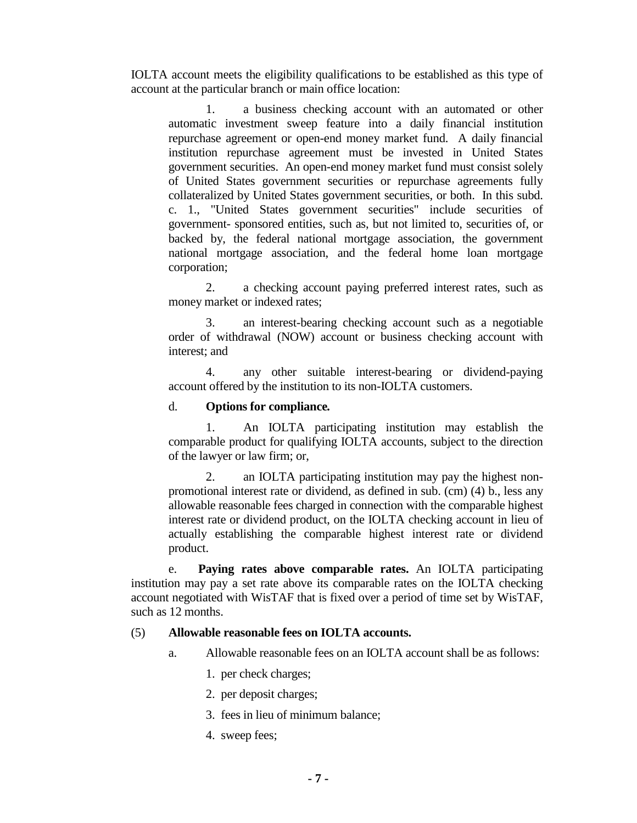IOLTA account meets the eligibility qualifications to be established as this type of account at the particular branch or main office location:

1. a business checking account with an automated or other automatic investment sweep feature into a daily financial institution repurchase agreement or open-end money market fund. A daily financial institution repurchase agreement must be invested in United States government securities. An open-end money market fund must consist solely of United States government securities or repurchase agreements fully collateralized by United States government securities, or both. In this subd. c. 1., "United States government securities" include securities of government- sponsored entities, such as, but not limited to, securities of, or backed by, the federal national mortgage association, the government national mortgage association, and the federal home loan mortgage corporation;

2. a checking account paying preferred interest rates, such as money market or indexed rates;

3. an interest-bearing checking account such as a negotiable order of withdrawal (NOW) account or business checking account with interest; and

4. any other suitable interest-bearing or dividend-paying account offered by the institution to its non-IOLTA customers.

## d. **Options for compliance***.*

1. An IOLTA participating institution may establish the comparable product for qualifying IOLTA accounts, subject to the direction of the lawyer or law firm; or,

2. an IOLTA participating institution may pay the highest nonpromotional interest rate or dividend, as defined in sub. (cm) (4) b., less any allowable reasonable fees charged in connection with the comparable highest interest rate or dividend product, on the IOLTA checking account in lieu of actually establishing the comparable highest interest rate or dividend product.

e. **Paying rates above comparable rates.** An IOLTA participating institution may pay a set rate above its comparable rates on the IOLTA checking account negotiated with WisTAF that is fixed over a period of time set by WisTAF, such as 12 months.

### (5) **Allowable reasonable fees on IOLTA accounts.**

- a. Allowable reasonable fees on an IOLTA account shall be as follows:
	- 1. per check charges;
	- 2. per deposit charges;
	- 3. fees in lieu of minimum balance;
	- 4. sweep fees;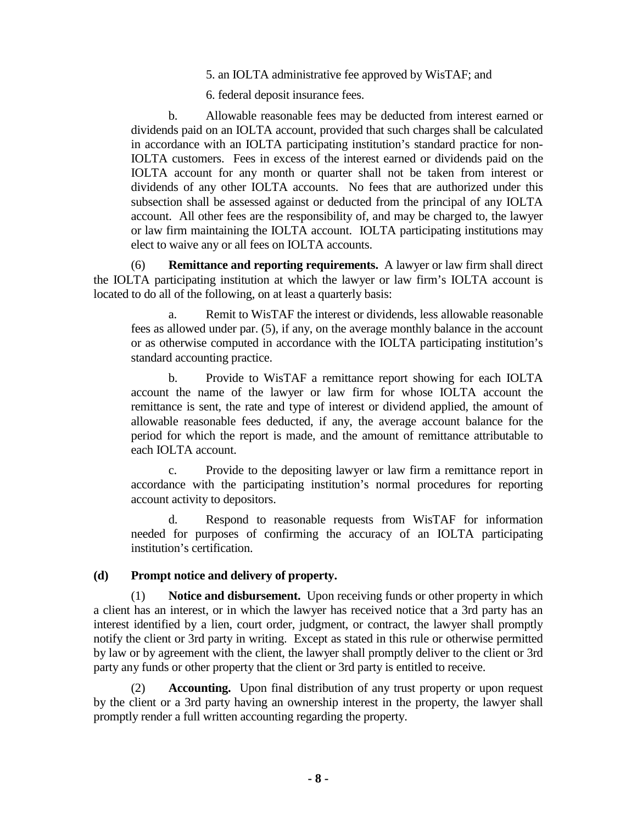5. an IOLTA administrative fee approved by WisTAF; and

6. federal deposit insurance fees.

b. Allowable reasonable fees may be deducted from interest earned or dividends paid on an IOLTA account, provided that such charges shall be calculated in accordance with an IOLTA participating institution's standard practice for non-IOLTA customers. Fees in excess of the interest earned or dividends paid on the IOLTA account for any month or quarter shall not be taken from interest or dividends of any other IOLTA accounts. No fees that are authorized under this subsection shall be assessed against or deducted from the principal of any IOLTA account. All other fees are the responsibility of, and may be charged to, the lawyer or law firm maintaining the IOLTA account. IOLTA participating institutions may elect to waive any or all fees on IOLTA accounts.

(6) **Remittance and reporting requirements.** A lawyer or law firm shall direct the IOLTA participating institution at which the lawyer or law firm's IOLTA account is located to do all of the following, on at least a quarterly basis:

a. Remit to WisTAF the interest or dividends, less allowable reasonable fees as allowed under par. (5), if any, on the average monthly balance in the account or as otherwise computed in accordance with the IOLTA participating institution's standard accounting practice.

b. Provide to WisTAF a remittance report showing for each IOLTA account the name of the lawyer or law firm for whose IOLTA account the remittance is sent, the rate and type of interest or dividend applied, the amount of allowable reasonable fees deducted, if any, the average account balance for the period for which the report is made, and the amount of remittance attributable to each IOLTA account.

c. Provide to the depositing lawyer or law firm a remittance report in accordance with the participating institution's normal procedures for reporting account activity to depositors.

d. Respond to reasonable requests from WisTAF for information needed for purposes of confirming the accuracy of an IOLTA participating institution's certification.

## **(d) Prompt notice and delivery of property.**

(1) **Notice and disbursement.** Upon receiving funds or other property in which a client has an interest, or in which the lawyer has received notice that a 3rd party has an interest identified by a lien, court order, judgment, or contract, the lawyer shall promptly notify the client or 3rd party in writing. Except as stated in this rule or otherwise permitted by law or by agreement with the client, the lawyer shall promptly deliver to the client or 3rd party any funds or other property that the client or 3rd party is entitled to receive.

(2) **Accounting.** Upon final distribution of any trust property or upon request by the client or a 3rd party having an ownership interest in the property, the lawyer shall promptly render a full written accounting regarding the property.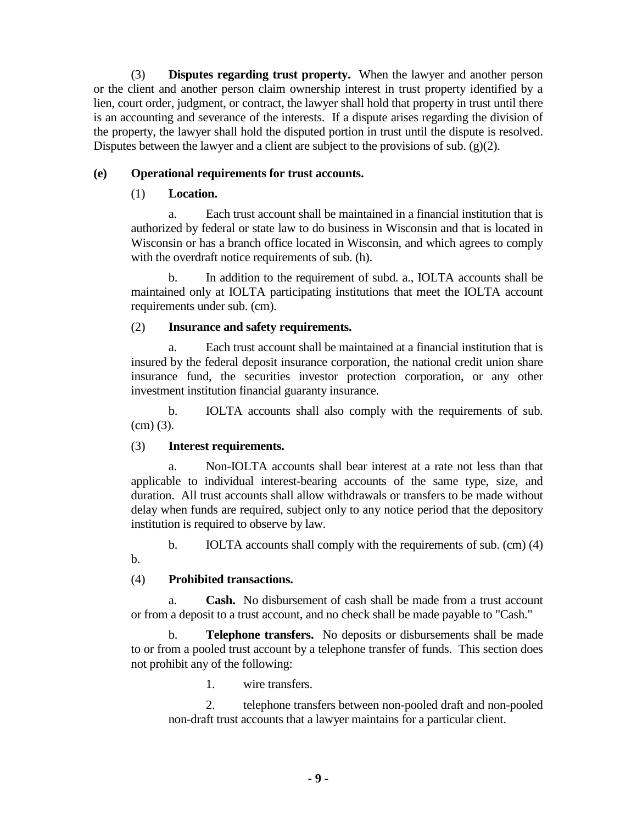(3) **Disputes regarding trust property.** When the lawyer and another person or the client and another person claim ownership interest in trust property identified by a lien, court order, judgment, or contract, the lawyer shall hold that property in trust until there is an accounting and severance of the interests. If a dispute arises regarding the division of the property, the lawyer shall hold the disputed portion in trust until the dispute is resolved. Disputes between the lawyer and a client are subject to the provisions of sub.  $(g)(2)$ .

# **(e) Operational requirements for trust accounts.**

# (1) **Location.**

a. Each trust account shall be maintained in a financial institution that is authorized by federal or state law to do business in Wisconsin and that is located in Wisconsin or has a branch office located in Wisconsin, and which agrees to comply with the overdraft notice requirements of sub. (h).

b. In addition to the requirement of subd. a., IOLTA accounts shall be maintained only at IOLTA participating institutions that meet the IOLTA account requirements under sub. (cm).

# (2) **Insurance and safety requirements.**

a. Each trust account shall be maintained at a financial institution that is insured by the federal deposit insurance corporation, the national credit union share insurance fund, the securities investor protection corporation, or any other investment institution financial guaranty insurance.

b. IOLTA accounts shall also comply with the requirements of sub. (cm) (3).

# (3) **Interest requirements.**

a. Non-IOLTA accounts shall bear interest at a rate not less than that applicable to individual interest-bearing accounts of the same type, size, and duration. All trust accounts shall allow withdrawals or transfers to be made without delay when funds are required, subject only to any notice period that the depository institution is required to observe by law.

b. IOLTA accounts shall comply with the requirements of sub. (cm) (4) b.

# (4) **Prohibited transactions.**

a. **Cash.** No disbursement of cash shall be made from a trust account or from a deposit to a trust account, and no check shall be made payable to "Cash."

b. **Telephone transfers.** No deposits or disbursements shall be made to or from a pooled trust account by a telephone transfer of funds. This section does not prohibit any of the following:

1. wire transfers.

2. telephone transfers between non-pooled draft and non-pooled non-draft trust accounts that a lawyer maintains for a particular client.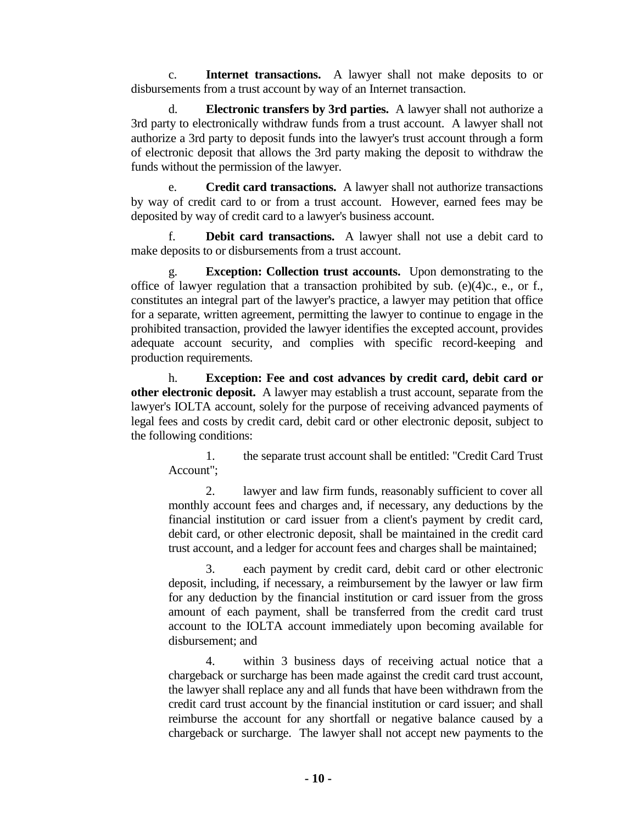c. **Internet transactions.** A lawyer shall not make deposits to or disbursements from a trust account by way of an Internet transaction.

d. **Electronic transfers by 3rd parties.** A lawyer shall not authorize a 3rd party to electronically withdraw funds from a trust account. A lawyer shall not authorize a 3rd party to deposit funds into the lawyer's trust account through a form of electronic deposit that allows the 3rd party making the deposit to withdraw the funds without the permission of the lawyer.

e. **Credit card transactions.** A lawyer shall not authorize transactions by way of credit card to or from a trust account. However, earned fees may be deposited by way of credit card to a lawyer's business account.

**Debit card transactions.** A lawyer shall not use a debit card to make deposits to or disbursements from a trust account.

g. **Exception: Collection trust accounts.** Upon demonstrating to the office of lawyer regulation that a transaction prohibited by sub. (e)(4)c., e., or f., constitutes an integral part of the lawyer's practice, a lawyer may petition that office for a separate, written agreement, permitting the lawyer to continue to engage in the prohibited transaction, provided the lawyer identifies the excepted account, provides adequate account security, and complies with specific record-keeping and production requirements.

h. **Exception: Fee and cost advances by credit card, debit card or other electronic deposit.** A lawyer may establish a trust account, separate from the lawyer's IOLTA account, solely for the purpose of receiving advanced payments of legal fees and costs by credit card, debit card or other electronic deposit, subject to the following conditions:

1. the separate trust account shall be entitled: "Credit Card Trust Account";

2. lawyer and law firm funds, reasonably sufficient to cover all monthly account fees and charges and, if necessary, any deductions by the financial institution or card issuer from a client's payment by credit card, debit card, or other electronic deposit, shall be maintained in the credit card trust account, and a ledger for account fees and charges shall be maintained;

3. each payment by credit card, debit card or other electronic deposit, including, if necessary, a reimbursement by the lawyer or law firm for any deduction by the financial institution or card issuer from the gross amount of each payment, shall be transferred from the credit card trust account to the IOLTA account immediately upon becoming available for disbursement; and

4. within 3 business days of receiving actual notice that a chargeback or surcharge has been made against the credit card trust account, the lawyer shall replace any and all funds that have been withdrawn from the credit card trust account by the financial institution or card issuer; and shall reimburse the account for any shortfall or negative balance caused by a chargeback or surcharge. The lawyer shall not accept new payments to the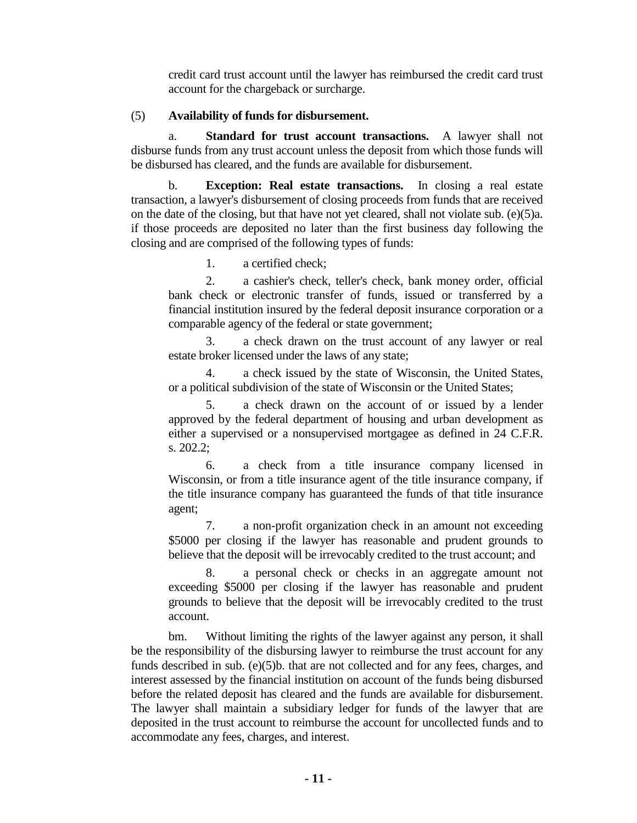credit card trust account until the lawyer has reimbursed the credit card trust account for the chargeback or surcharge.

## (5) **Availability of funds for disbursement.**

a. **Standard for trust account transactions.** A lawyer shall not disburse funds from any trust account unless the deposit from which those funds will be disbursed has cleared, and the funds are available for disbursement.

b. **Exception: Real estate transactions.** In closing a real estate transaction, a lawyer's disbursement of closing proceeds from funds that are received on the date of the closing, but that have not yet cleared, shall not violate sub. (e)(5)a. if those proceeds are deposited no later than the first business day following the closing and are comprised of the following types of funds:

1. a certified check;

2. a cashier's check, teller's check, bank money order, official bank check or electronic transfer of funds, issued or transferred by a financial institution insured by the federal deposit insurance corporation or a comparable agency of the federal or state government;

3. a check drawn on the trust account of any lawyer or real estate broker licensed under the laws of any state;

4. a check issued by the state of Wisconsin, the United States, or a political subdivision of the state of Wisconsin or the United States;

5. a check drawn on the account of or issued by a lender approved by the federal department of housing and urban development as either a supervised or a nonsupervised mortgagee as defined in 24 C.F.R. s. 202.2;

6. a check from a title insurance company licensed in Wisconsin, or from a title insurance agent of the title insurance company, if the title insurance company has guaranteed the funds of that title insurance agent;

7. a non-profit organization check in an amount not exceeding \$5000 per closing if the lawyer has reasonable and prudent grounds to believe that the deposit will be irrevocably credited to the trust account; and

8. a personal check or checks in an aggregate amount not exceeding \$5000 per closing if the lawyer has reasonable and prudent grounds to believe that the deposit will be irrevocably credited to the trust account.

bm. Without limiting the rights of the lawyer against any person, it shall be the responsibility of the disbursing lawyer to reimburse the trust account for any funds described in sub. (e)(5)b. that are not collected and for any fees, charges, and interest assessed by the financial institution on account of the funds being disbursed before the related deposit has cleared and the funds are available for disbursement. The lawyer shall maintain a subsidiary ledger for funds of the lawyer that are deposited in the trust account to reimburse the account for uncollected funds and to accommodate any fees, charges, and interest.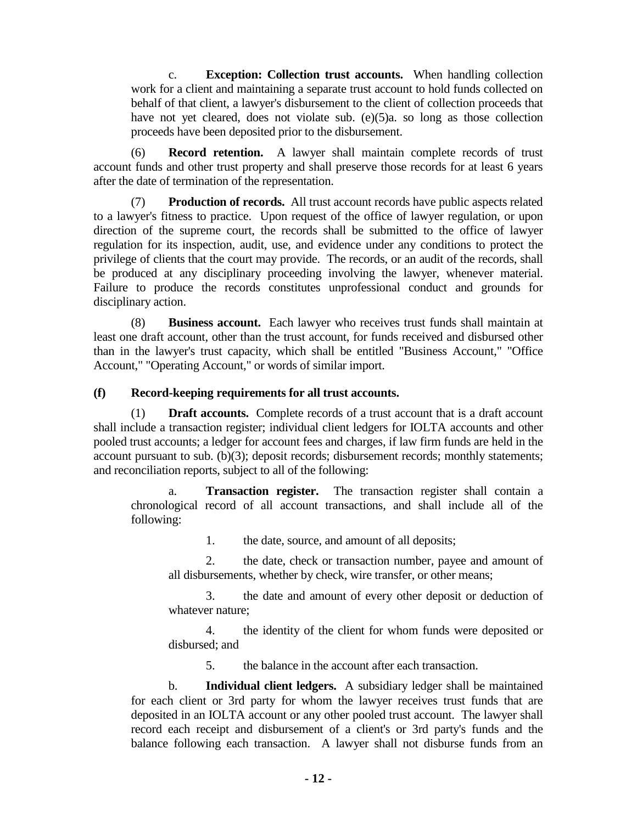c. **Exception: Collection trust accounts.** When handling collection work for a client and maintaining a separate trust account to hold funds collected on behalf of that client, a lawyer's disbursement to the client of collection proceeds that have not yet cleared, does not violate sub. (e)(5)a. so long as those collection proceeds have been deposited prior to the disbursement.

(6) **Record retention.** A lawyer shall maintain complete records of trust account funds and other trust property and shall preserve those records for at least 6 years after the date of termination of the representation.

(7) **Production of records.** All trust account records have public aspects related to a lawyer's fitness to practice. Upon request of the office of lawyer regulation, or upon direction of the supreme court, the records shall be submitted to the office of lawyer regulation for its inspection, audit, use, and evidence under any conditions to protect the privilege of clients that the court may provide. The records, or an audit of the records, shall be produced at any disciplinary proceeding involving the lawyer, whenever material. Failure to produce the records constitutes unprofessional conduct and grounds for disciplinary action.

(8) **Business account.** Each lawyer who receives trust funds shall maintain at least one draft account, other than the trust account, for funds received and disbursed other than in the lawyer's trust capacity, which shall be entitled "Business Account," "Office Account," "Operating Account," or words of similar import.

## **(f) Record-keeping requirements for all trust accounts.**

(1) **Draft accounts.** Complete records of a trust account that is a draft account shall include a transaction register; individual client ledgers for IOLTA accounts and other pooled trust accounts; a ledger for account fees and charges, if law firm funds are held in the account pursuant to sub. (b)(3); deposit records; disbursement records; monthly statements; and reconciliation reports, subject to all of the following:

a. **Transaction register.** The transaction register shall contain a chronological record of all account transactions, and shall include all of the following:

1. the date, source, and amount of all deposits;

2. the date, check or transaction number, payee and amount of all disbursements, whether by check, wire transfer, or other means;

3. the date and amount of every other deposit or deduction of whatever nature;

4. the identity of the client for whom funds were deposited or disbursed; and

5. the balance in the account after each transaction.

b. **Individual client ledgers.** A subsidiary ledger shall be maintained for each client or 3rd party for whom the lawyer receives trust funds that are deposited in an IOLTA account or any other pooled trust account. The lawyer shall record each receipt and disbursement of a client's or 3rd party's funds and the balance following each transaction. A lawyer shall not disburse funds from an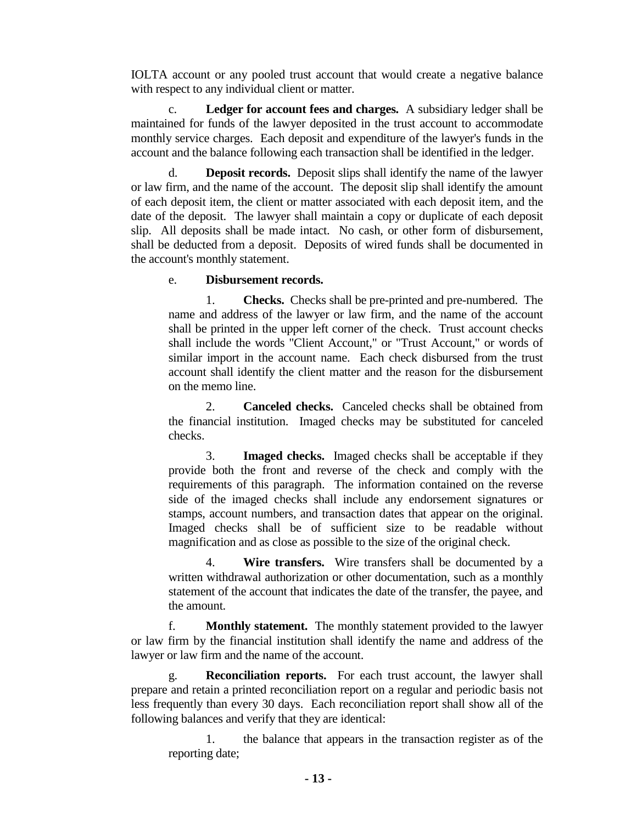IOLTA account or any pooled trust account that would create a negative balance with respect to any individual client or matter.

c. **Ledger for account fees and charges.** A subsidiary ledger shall be maintained for funds of the lawyer deposited in the trust account to accommodate monthly service charges. Each deposit and expenditure of the lawyer's funds in the account and the balance following each transaction shall be identified in the ledger.

d. **Deposit records.** Deposit slips shall identify the name of the lawyer or law firm, and the name of the account. The deposit slip shall identify the amount of each deposit item, the client or matter associated with each deposit item, and the date of the deposit. The lawyer shall maintain a copy or duplicate of each deposit slip. All deposits shall be made intact. No cash, or other form of disbursement, shall be deducted from a deposit. Deposits of wired funds shall be documented in the account's monthly statement.

## e. **Disbursement records.**

1. **Checks.** Checks shall be pre-printed and pre-numbered. The name and address of the lawyer or law firm, and the name of the account shall be printed in the upper left corner of the check. Trust account checks shall include the words "Client Account," or "Trust Account," or words of similar import in the account name. Each check disbursed from the trust account shall identify the client matter and the reason for the disbursement on the memo line.

2. **Canceled checks.** Canceled checks shall be obtained from the financial institution. Imaged checks may be substituted for canceled checks.

3. **Imaged checks.** Imaged checks shall be acceptable if they provide both the front and reverse of the check and comply with the requirements of this paragraph. The information contained on the reverse side of the imaged checks shall include any endorsement signatures or stamps, account numbers, and transaction dates that appear on the original. Imaged checks shall be of sufficient size to be readable without magnification and as close as possible to the size of the original check.

4. **Wire transfers.** Wire transfers shall be documented by a written withdrawal authorization or other documentation, such as a monthly statement of the account that indicates the date of the transfer, the payee, and the amount.

f. **Monthly statement.** The monthly statement provided to the lawyer or law firm by the financial institution shall identify the name and address of the lawyer or law firm and the name of the account.

g. **Reconciliation reports.** For each trust account, the lawyer shall prepare and retain a printed reconciliation report on a regular and periodic basis not less frequently than every 30 days. Each reconciliation report shall show all of the following balances and verify that they are identical:

1. the balance that appears in the transaction register as of the reporting date;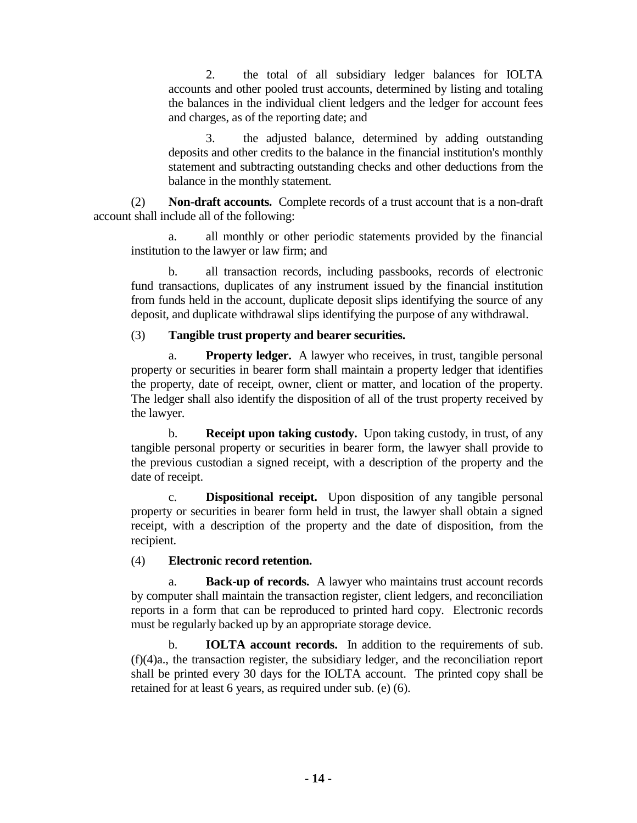2. the total of all subsidiary ledger balances for IOLTA accounts and other pooled trust accounts, determined by listing and totaling the balances in the individual client ledgers and the ledger for account fees and charges, as of the reporting date; and

3. the adjusted balance, determined by adding outstanding deposits and other credits to the balance in the financial institution's monthly statement and subtracting outstanding checks and other deductions from the balance in the monthly statement.

(2) **Non-draft accounts.** Complete records of a trust account that is a non-draft account shall include all of the following:

a. all monthly or other periodic statements provided by the financial institution to the lawyer or law firm; and

b. all transaction records, including passbooks, records of electronic fund transactions, duplicates of any instrument issued by the financial institution from funds held in the account, duplicate deposit slips identifying the source of any deposit, and duplicate withdrawal slips identifying the purpose of any withdrawal.

## (3) **Tangible trust property and bearer securities.**

a. **Property ledger.** A lawyer who receives, in trust, tangible personal property or securities in bearer form shall maintain a property ledger that identifies the property, date of receipt, owner, client or matter, and location of the property. The ledger shall also identify the disposition of all of the trust property received by the lawyer.

b. **Receipt upon taking custody.** Upon taking custody, in trust, of any tangible personal property or securities in bearer form, the lawyer shall provide to the previous custodian a signed receipt, with a description of the property and the date of receipt.

c. **Dispositional receipt.** Upon disposition of any tangible personal property or securities in bearer form held in trust, the lawyer shall obtain a signed receipt, with a description of the property and the date of disposition, from the recipient.

## (4) **Electronic record retention.**

a. **Back-up of records.** A lawyer who maintains trust account records by computer shall maintain the transaction register, client ledgers, and reconciliation reports in a form that can be reproduced to printed hard copy. Electronic records must be regularly backed up by an appropriate storage device.

b. **IOLTA account records.** In addition to the requirements of sub. (f)(4)a., the transaction register, the subsidiary ledger, and the reconciliation report shall be printed every 30 days for the IOLTA account. The printed copy shall be retained for at least 6 years, as required under sub. (e) (6).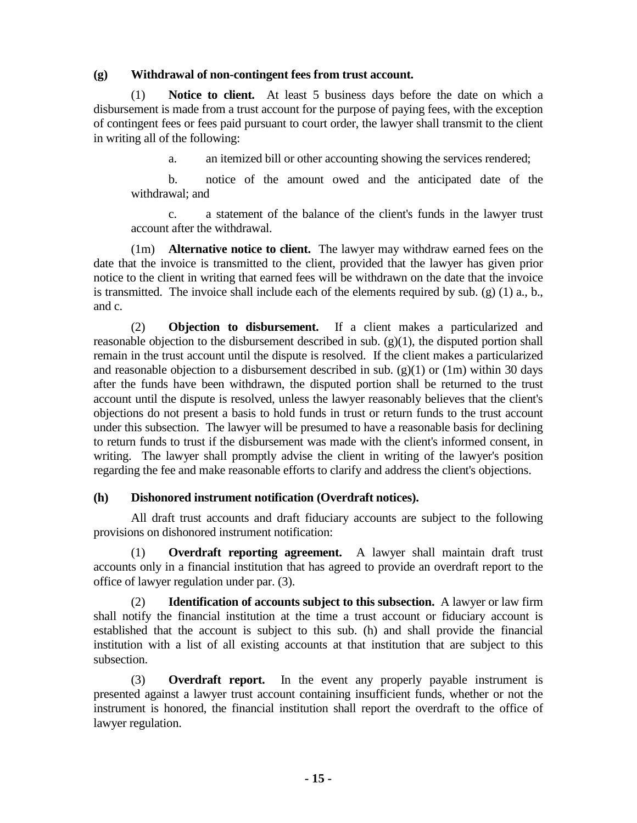## **(g) Withdrawal of non-contingent fees from trust account.**

(1) **Notice to client.** At least 5 business days before the date on which a disbursement is made from a trust account for the purpose of paying fees, with the exception of contingent fees or fees paid pursuant to court order, the lawyer shall transmit to the client in writing all of the following:

a. an itemized bill or other accounting showing the services rendered;

b. notice of the amount owed and the anticipated date of the withdrawal; and

c. a statement of the balance of the client's funds in the lawyer trust account after the withdrawal.

(1m) **Alternative notice to client.** The lawyer may withdraw earned fees on the date that the invoice is transmitted to the client, provided that the lawyer has given prior notice to the client in writing that earned fees will be withdrawn on the date that the invoice is transmitted. The invoice shall include each of the elements required by sub. (g) (1) a., b., and c.

(2) **Objection to disbursement.** If a client makes a particularized and reasonable objection to the disbursement described in sub.  $(g)(1)$ , the disputed portion shall remain in the trust account until the dispute is resolved. If the client makes a particularized and reasonable objection to a disbursement described in sub. (g)(1) or (1m) within 30 days after the funds have been withdrawn, the disputed portion shall be returned to the trust account until the dispute is resolved, unless the lawyer reasonably believes that the client's objections do not present a basis to hold funds in trust or return funds to the trust account under this subsection. The lawyer will be presumed to have a reasonable basis for declining to return funds to trust if the disbursement was made with the client's informed consent, in writing. The lawyer shall promptly advise the client in writing of the lawyer's position regarding the fee and make reasonable efforts to clarify and address the client's objections.

# **(h) Dishonored instrument notification (Overdraft notices).**

All draft trust accounts and draft fiduciary accounts are subject to the following provisions on dishonored instrument notification:

(1) **Overdraft reporting agreement.** A lawyer shall maintain draft trust accounts only in a financial institution that has agreed to provide an overdraft report to the office of lawyer regulation under par. (3).

(2) **Identification of accounts subject to this subsection.** A lawyer or law firm shall notify the financial institution at the time a trust account or fiduciary account is established that the account is subject to this sub. (h) and shall provide the financial institution with a list of all existing accounts at that institution that are subject to this subsection.

(3) **Overdraft report.** In the event any properly payable instrument is presented against a lawyer trust account containing insufficient funds, whether or not the instrument is honored, the financial institution shall report the overdraft to the office of lawyer regulation.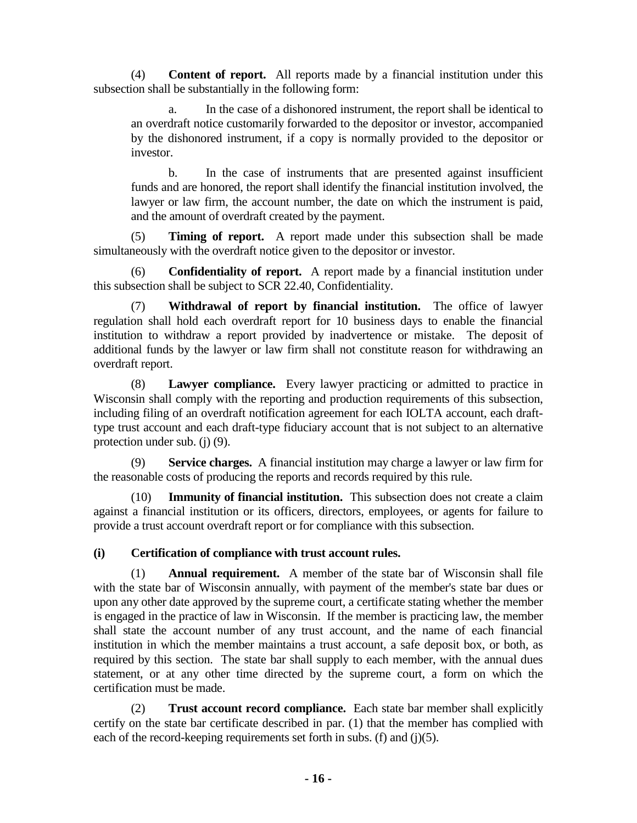(4) **Content of report.** All reports made by a financial institution under this subsection shall be substantially in the following form:

a. In the case of a dishonored instrument, the report shall be identical to an overdraft notice customarily forwarded to the depositor or investor, accompanied by the dishonored instrument, if a copy is normally provided to the depositor or investor.

b. In the case of instruments that are presented against insufficient funds and are honored, the report shall identify the financial institution involved, the lawyer or law firm, the account number, the date on which the instrument is paid, and the amount of overdraft created by the payment.

(5) **Timing of report.** A report made under this subsection shall be made simultaneously with the overdraft notice given to the depositor or investor.

(6) **Confidentiality of report.** A report made by a financial institution under this subsection shall be subject to SCR 22.40, Confidentiality.

(7) **Withdrawal of report by financial institution.** The office of lawyer regulation shall hold each overdraft report for 10 business days to enable the financial institution to withdraw a report provided by inadvertence or mistake. The deposit of additional funds by the lawyer or law firm shall not constitute reason for withdrawing an overdraft report.

(8) **Lawyer compliance.** Every lawyer practicing or admitted to practice in Wisconsin shall comply with the reporting and production requirements of this subsection, including filing of an overdraft notification agreement for each IOLTA account, each drafttype trust account and each draft-type fiduciary account that is not subject to an alternative protection under sub. (j) (9).

(9) **Service charges.** A financial institution may charge a lawyer or law firm for the reasonable costs of producing the reports and records required by this rule.

(10) **Immunity of financial institution.** This subsection does not create a claim against a financial institution or its officers, directors, employees, or agents for failure to provide a trust account overdraft report or for compliance with this subsection.

# **(i) Certification of compliance with trust account rules.**

(1) **Annual requirement.** A member of the state bar of Wisconsin shall file with the state bar of Wisconsin annually, with payment of the member's state bar dues or upon any other date approved by the supreme court, a certificate stating whether the member is engaged in the practice of law in Wisconsin. If the member is practicing law, the member shall state the account number of any trust account, and the name of each financial institution in which the member maintains a trust account, a safe deposit box, or both, as required by this section. The state bar shall supply to each member, with the annual dues statement, or at any other time directed by the supreme court, a form on which the certification must be made.

(2) **Trust account record compliance.** Each state bar member shall explicitly certify on the state bar certificate described in par. (1) that the member has complied with each of the record-keeping requirements set forth in subs. (f) and (j)(5).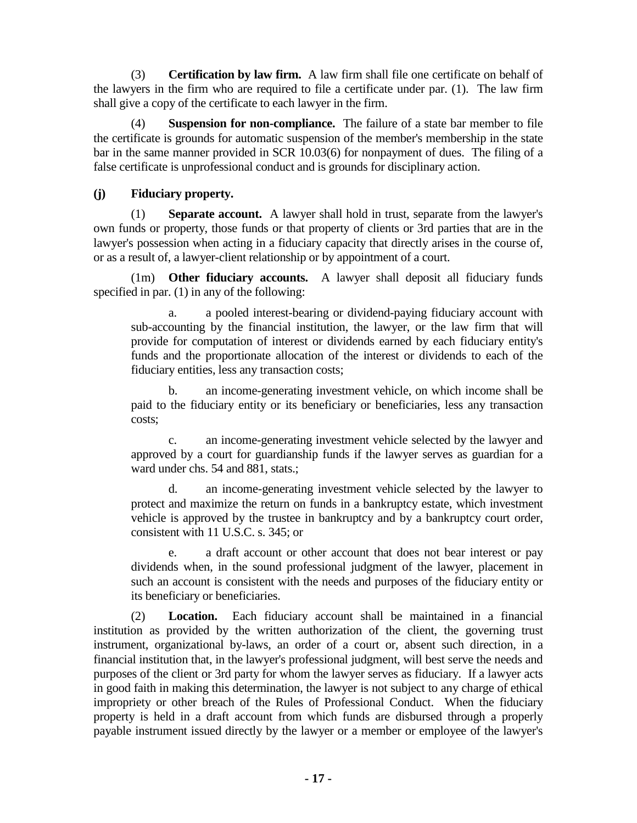(3) **Certification by law firm.** A law firm shall file one certificate on behalf of the lawyers in the firm who are required to file a certificate under par. (1). The law firm shall give a copy of the certificate to each lawyer in the firm.

(4) **Suspension for non-compliance.** The failure of a state bar member to file the certificate is grounds for automatic suspension of the member's membership in the state bar in the same manner provided in SCR 10.03(6) for nonpayment of dues. The filing of a false certificate is unprofessional conduct and is grounds for disciplinary action.

# **(j) Fiduciary property.**

(1) **Separate account.** A lawyer shall hold in trust, separate from the lawyer's own funds or property, those funds or that property of clients or 3rd parties that are in the lawyer's possession when acting in a fiduciary capacity that directly arises in the course of, or as a result of, a lawyer-client relationship or by appointment of a court.

(1m) **Other fiduciary accounts.** A lawyer shall deposit all fiduciary funds specified in par. (1) in any of the following:

a. a pooled interest-bearing or dividend-paying fiduciary account with sub-accounting by the financial institution, the lawyer, or the law firm that will provide for computation of interest or dividends earned by each fiduciary entity's funds and the proportionate allocation of the interest or dividends to each of the fiduciary entities, less any transaction costs;

b. an income-generating investment vehicle, on which income shall be paid to the fiduciary entity or its beneficiary or beneficiaries, less any transaction costs;

c. an income-generating investment vehicle selected by the lawyer and approved by a court for guardianship funds if the lawyer serves as guardian for a ward under chs. 54 and 881, stats.;

d. an income-generating investment vehicle selected by the lawyer to protect and maximize the return on funds in a bankruptcy estate, which investment vehicle is approved by the trustee in bankruptcy and by a bankruptcy court order, consistent with 11 U.S.C. s. 345; or

e. a draft account or other account that does not bear interest or pay dividends when, in the sound professional judgment of the lawyer, placement in such an account is consistent with the needs and purposes of the fiduciary entity or its beneficiary or beneficiaries.

(2) **Location.** Each fiduciary account shall be maintained in a financial institution as provided by the written authorization of the client, the governing trust instrument, organizational by-laws, an order of a court or, absent such direction, in a financial institution that, in the lawyer's professional judgment, will best serve the needs and purposes of the client or 3rd party for whom the lawyer serves as fiduciary. If a lawyer acts in good faith in making this determination, the lawyer is not subject to any charge of ethical impropriety or other breach of the Rules of Professional Conduct. When the fiduciary property is held in a draft account from which funds are disbursed through a properly payable instrument issued directly by the lawyer or a member or employee of the lawyer's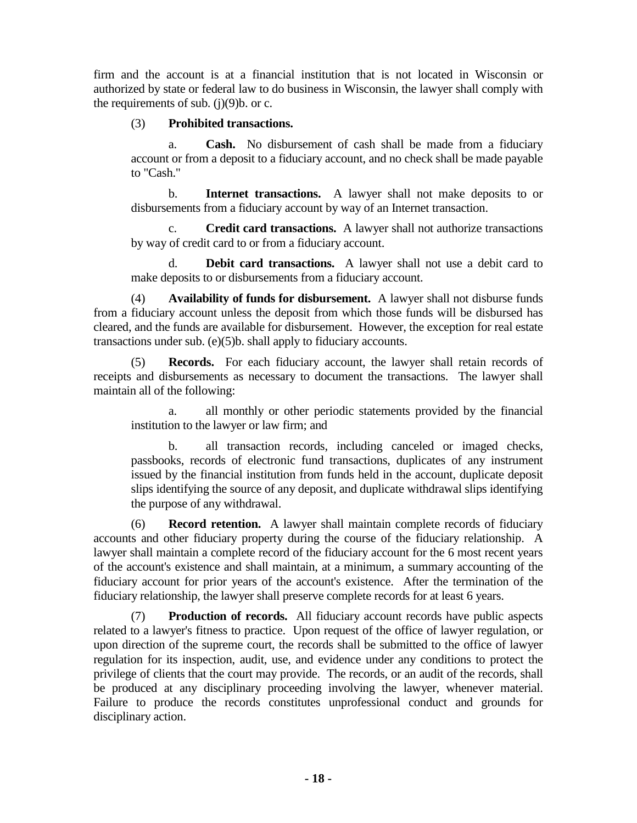firm and the account is at a financial institution that is not located in Wisconsin or authorized by state or federal law to do business in Wisconsin, the lawyer shall comply with the requirements of sub.  $(i)(9)$ b. or c.

## (3) **Prohibited transactions.**

a. **Cash.** No disbursement of cash shall be made from a fiduciary account or from a deposit to a fiduciary account, and no check shall be made payable to "Cash."

b. **Internet transactions.** A lawyer shall not make deposits to or disbursements from a fiduciary account by way of an Internet transaction.

c. **Credit card transactions.** A lawyer shall not authorize transactions by way of credit card to or from a fiduciary account.

d. **Debit card transactions.** A lawyer shall not use a debit card to make deposits to or disbursements from a fiduciary account.

(4) **Availability of funds for disbursement.** A lawyer shall not disburse funds from a fiduciary account unless the deposit from which those funds will be disbursed has cleared, and the funds are available for disbursement. However, the exception for real estate transactions under sub. (e)(5)b. shall apply to fiduciary accounts.

(5) **Records.** For each fiduciary account, the lawyer shall retain records of receipts and disbursements as necessary to document the transactions. The lawyer shall maintain all of the following:

all monthly or other periodic statements provided by the financial institution to the lawyer or law firm; and

b. all transaction records, including canceled or imaged checks, passbooks, records of electronic fund transactions, duplicates of any instrument issued by the financial institution from funds held in the account, duplicate deposit slips identifying the source of any deposit, and duplicate withdrawal slips identifying the purpose of any withdrawal.

(6) **Record retention.** A lawyer shall maintain complete records of fiduciary accounts and other fiduciary property during the course of the fiduciary relationship. A lawyer shall maintain a complete record of the fiduciary account for the 6 most recent years of the account's existence and shall maintain, at a minimum, a summary accounting of the fiduciary account for prior years of the account's existence. After the termination of the fiduciary relationship, the lawyer shall preserve complete records for at least 6 years.

(7) **Production of records.** All fiduciary account records have public aspects related to a lawyer's fitness to practice. Upon request of the office of lawyer regulation, or upon direction of the supreme court, the records shall be submitted to the office of lawyer regulation for its inspection, audit, use, and evidence under any conditions to protect the privilege of clients that the court may provide. The records, or an audit of the records, shall be produced at any disciplinary proceeding involving the lawyer, whenever material. Failure to produce the records constitutes unprofessional conduct and grounds for disciplinary action.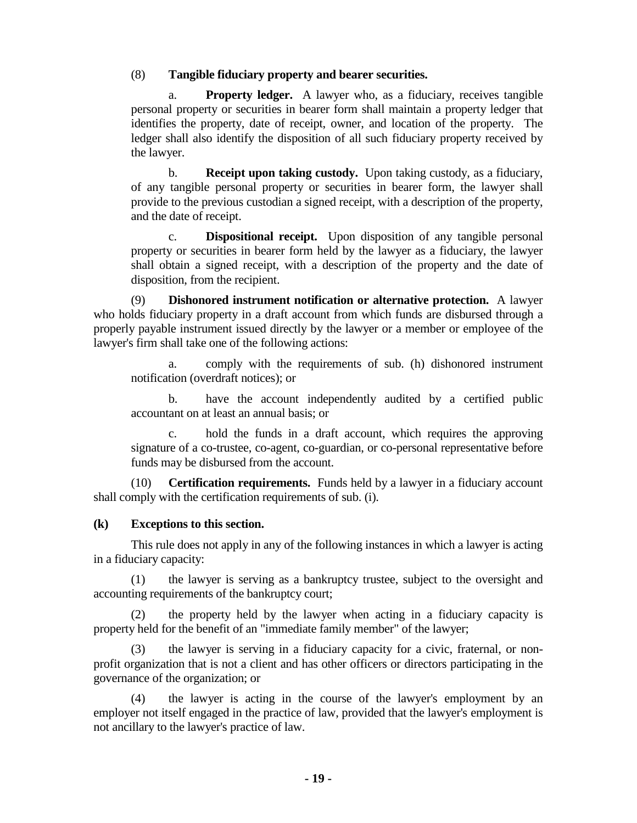## (8) **Tangible fiduciary property and bearer securities.**

a. **Property ledger.** A lawyer who, as a fiduciary, receives tangible personal property or securities in bearer form shall maintain a property ledger that identifies the property, date of receipt, owner, and location of the property. The ledger shall also identify the disposition of all such fiduciary property received by the lawyer.

b. **Receipt upon taking custody.** Upon taking custody, as a fiduciary, of any tangible personal property or securities in bearer form, the lawyer shall provide to the previous custodian a signed receipt, with a description of the property, and the date of receipt.

c. **Dispositional receipt.** Upon disposition of any tangible personal property or securities in bearer form held by the lawyer as a fiduciary, the lawyer shall obtain a signed receipt, with a description of the property and the date of disposition, from the recipient.

(9) **Dishonored instrument notification or alternative protection.** A lawyer who holds fiduciary property in a draft account from which funds are disbursed through a properly payable instrument issued directly by the lawyer or a member or employee of the lawyer's firm shall take one of the following actions:

a. comply with the requirements of sub. (h) dishonored instrument notification (overdraft notices); or

b. have the account independently audited by a certified public accountant on at least an annual basis; or

hold the funds in a draft account, which requires the approving signature of a co-trustee, co-agent, co-guardian, or co-personal representative before funds may be disbursed from the account.

(10) **Certification requirements.** Funds held by a lawyer in a fiduciary account shall comply with the certification requirements of sub. (i).

# **(k) Exceptions to this section.**

This rule does not apply in any of the following instances in which a lawyer is acting in a fiduciary capacity:

(1) the lawyer is serving as a bankruptcy trustee, subject to the oversight and accounting requirements of the bankruptcy court;

(2) the property held by the lawyer when acting in a fiduciary capacity is property held for the benefit of an "immediate family member" of the lawyer;

(3) the lawyer is serving in a fiduciary capacity for a civic, fraternal, or nonprofit organization that is not a client and has other officers or directors participating in the governance of the organization; or

(4) the lawyer is acting in the course of the lawyer's employment by an employer not itself engaged in the practice of law, provided that the lawyer's employment is not ancillary to the lawyer's practice of law.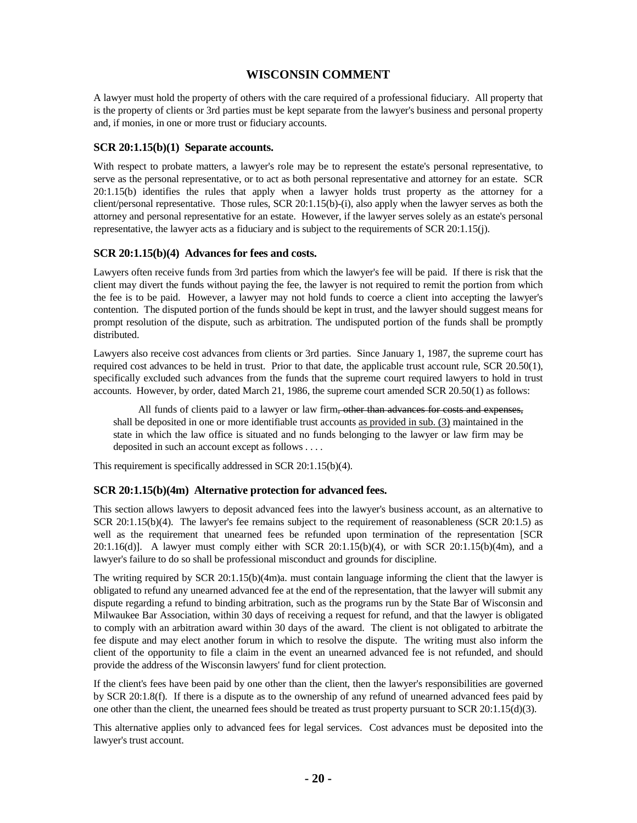## **WISCONSIN COMMENT**

A lawyer must hold the property of others with the care required of a professional fiduciary. All property that is the property of clients or 3rd parties must be kept separate from the lawyer's business and personal property and, if monies, in one or more trust or fiduciary accounts.

#### **SCR 20:1.15(b)(1) Separate accounts.**

With respect to probate matters, a lawyer's role may be to represent the estate's personal representative, to serve as the personal representative, or to act as both personal representative and attorney for an estate. SCR 20:1.15(b) identifies the rules that apply when a lawyer holds trust property as the attorney for a client/personal representative. Those rules, SCR 20:1.15(b)-(i), also apply when the lawyer serves as both the attorney and personal representative for an estate. However, if the lawyer serves solely as an estate's personal representative, the lawyer acts as a fiduciary and is subject to the requirements of SCR 20:1.15(j).

#### **SCR 20:1.15(b)(4) Advances for fees and costs.**

Lawyers often receive funds from 3rd parties from which the lawyer's fee will be paid. If there is risk that the client may divert the funds without paying the fee, the lawyer is not required to remit the portion from which the fee is to be paid. However, a lawyer may not hold funds to coerce a client into accepting the lawyer's contention. The disputed portion of the funds should be kept in trust, and the lawyer should suggest means for prompt resolution of the dispute, such as arbitration. The undisputed portion of the funds shall be promptly distributed.

Lawyers also receive cost advances from clients or 3rd parties. Since January 1, 1987, the supreme court has required cost advances to be held in trust. Prior to that date, the applicable trust account rule, SCR 20.50(1), specifically excluded such advances from the funds that the supreme court required lawyers to hold in trust accounts. However, by order, dated March 21, 1986, the supreme court amended SCR 20.50(1) as follows:

All funds of clients paid to a lawyer or law firm<del>, other than advances for costs and expenses,</del> shall be deposited in one or more identifiable trust accounts as provided in sub. (3) maintained in the state in which the law office is situated and no funds belonging to the lawyer or law firm may be deposited in such an account except as follows . . . .

This requirement is specifically addressed in SCR 20:1.15(b)(4).

### **SCR 20:1.15(b)(4m) Alternative protection for advanced fees.**

This section allows lawyers to deposit advanced fees into the lawyer's business account, as an alternative to SCR 20:1.15(b)(4). The lawyer's fee remains subject to the requirement of reasonableness (SCR 20:1.5) as well as the requirement that unearned fees be refunded upon termination of the representation [SCR 20:1.16(d)]. A lawyer must comply either with SCR 20:1.15(b)(4), or with SCR 20:1.15(b)(4m), and a lawyer's failure to do so shall be professional misconduct and grounds for discipline.

The writing required by SCR 20:1.15(b)(4m)a. must contain language informing the client that the lawyer is obligated to refund any unearned advanced fee at the end of the representation, that the lawyer will submit any dispute regarding a refund to binding arbitration, such as the programs run by the State Bar of Wisconsin and Milwaukee Bar Association, within 30 days of receiving a request for refund, and that the lawyer is obligated to comply with an arbitration award within 30 days of the award. The client is not obligated to arbitrate the fee dispute and may elect another forum in which to resolve the dispute. The writing must also inform the client of the opportunity to file a claim in the event an unearned advanced fee is not refunded, and should provide the address of the Wisconsin lawyers' fund for client protection.

If the client's fees have been paid by one other than the client, then the lawyer's responsibilities are governed by SCR 20:1.8(f). If there is a dispute as to the ownership of any refund of unearned advanced fees paid by one other than the client, the unearned fees should be treated as trust property pursuant to SCR 20:1.15(d)(3).

This alternative applies only to advanced fees for legal services. Cost advances must be deposited into the lawyer's trust account.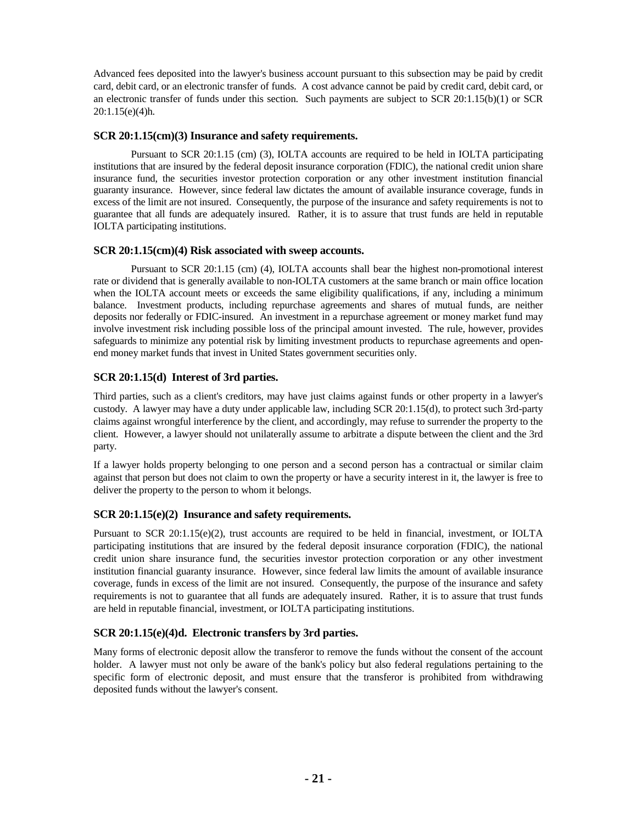Advanced fees deposited into the lawyer's business account pursuant to this subsection may be paid by credit card, debit card, or an electronic transfer of funds. A cost advance cannot be paid by credit card, debit card, or an electronic transfer of funds under this section. Such payments are subject to SCR 20:1.15(b)(1) or SCR 20:1.15(e)(4)h.

### **SCR 20:1.15(cm)(3) Insurance and safety requirements.**

Pursuant to SCR 20:1.15 (cm) (3), IOLTA accounts are required to be held in IOLTA participating institutions that are insured by the federal deposit insurance corporation (FDIC), the national credit union share insurance fund, the securities investor protection corporation or any other investment institution financial guaranty insurance. However, since federal law dictates the amount of available insurance coverage, funds in excess of the limit are not insured. Consequently, the purpose of the insurance and safety requirements is not to guarantee that all funds are adequately insured. Rather, it is to assure that trust funds are held in reputable IOLTA participating institutions.

### **SCR 20:1.15(cm)(4) Risk associated with sweep accounts.**

Pursuant to SCR 20:1.15 (cm) (4), IOLTA accounts shall bear the highest non-promotional interest rate or dividend that is generally available to non-IOLTA customers at the same branch or main office location when the IOLTA account meets or exceeds the same eligibility qualifications, if any, including a minimum balance. Investment products, including repurchase agreements and shares of mutual funds, are neither deposits nor federally or FDIC-insured. An investment in a repurchase agreement or money market fund may involve investment risk including possible loss of the principal amount invested. The rule, however, provides safeguards to minimize any potential risk by limiting investment products to repurchase agreements and openend money market funds that invest in United States government securities only.

### **SCR 20:1.15(d) Interest of 3rd parties.**

Third parties, such as a client's creditors, may have just claims against funds or other property in a lawyer's custody. A lawyer may have a duty under applicable law, including SCR 20:1.15(d), to protect such 3rd-party claims against wrongful interference by the client, and accordingly, may refuse to surrender the property to the client. However, a lawyer should not unilaterally assume to arbitrate a dispute between the client and the 3rd party.

If a lawyer holds property belonging to one person and a second person has a contractual or similar claim against that person but does not claim to own the property or have a security interest in it, the lawyer is free to deliver the property to the person to whom it belongs.

### **SCR 20:1.15(e)(2) Insurance and safety requirements.**

Pursuant to SCR 20:1.15(e)(2), trust accounts are required to be held in financial, investment, or IOLTA participating institutions that are insured by the federal deposit insurance corporation (FDIC), the national credit union share insurance fund, the securities investor protection corporation or any other investment institution financial guaranty insurance. However, since federal law limits the amount of available insurance coverage, funds in excess of the limit are not insured. Consequently, the purpose of the insurance and safety requirements is not to guarantee that all funds are adequately insured. Rather, it is to assure that trust funds are held in reputable financial, investment, or IOLTA participating institutions.

### **SCR 20:1.15(e)(4)d. Electronic transfers by 3rd parties.**

Many forms of electronic deposit allow the transferor to remove the funds without the consent of the account holder. A lawyer must not only be aware of the bank's policy but also federal regulations pertaining to the specific form of electronic deposit, and must ensure that the transferor is prohibited from withdrawing deposited funds without the lawyer's consent.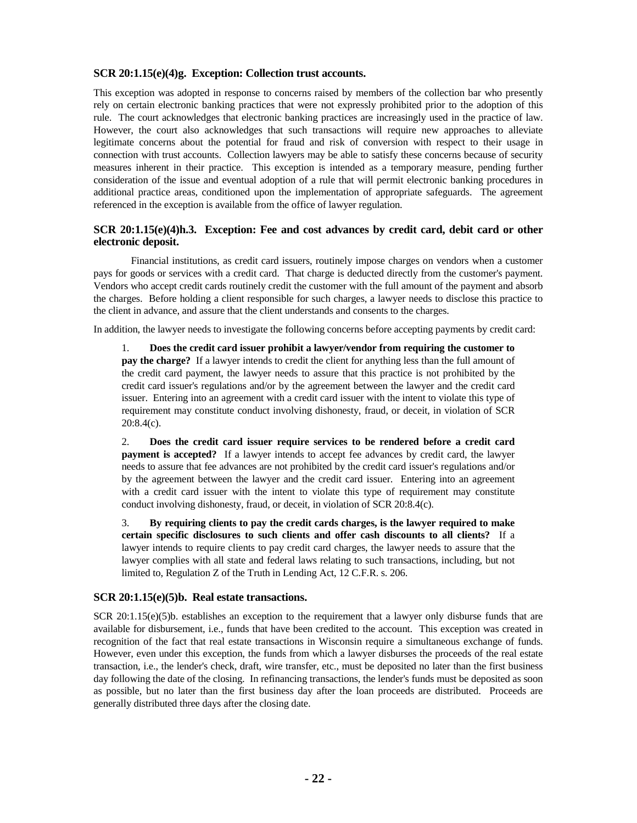### **SCR 20:1.15(e)(4)g. Exception: Collection trust accounts.**

This exception was adopted in response to concerns raised by members of the collection bar who presently rely on certain electronic banking practices that were not expressly prohibited prior to the adoption of this rule. The court acknowledges that electronic banking practices are increasingly used in the practice of law. However, the court also acknowledges that such transactions will require new approaches to alleviate legitimate concerns about the potential for fraud and risk of conversion with respect to their usage in connection with trust accounts. Collection lawyers may be able to satisfy these concerns because of security measures inherent in their practice. This exception is intended as a temporary measure, pending further consideration of the issue and eventual adoption of a rule that will permit electronic banking procedures in additional practice areas, conditioned upon the implementation of appropriate safeguards. The agreement referenced in the exception is available from the office of lawyer regulation.

### **SCR 20:1.15(e)(4)h.3. Exception: Fee and cost advances by credit card, debit card or other electronic deposit.**

Financial institutions, as credit card issuers, routinely impose charges on vendors when a customer pays for goods or services with a credit card. That charge is deducted directly from the customer's payment. Vendors who accept credit cards routinely credit the customer with the full amount of the payment and absorb the charges. Before holding a client responsible for such charges, a lawyer needs to disclose this practice to the client in advance, and assure that the client understands and consents to the charges.

In addition, the lawyer needs to investigate the following concerns before accepting payments by credit card:

1. **Does the credit card issuer prohibit a lawyer/vendor from requiring the customer to pay the charge?** If a lawyer intends to credit the client for anything less than the full amount of the credit card payment, the lawyer needs to assure that this practice is not prohibited by the credit card issuer's regulations and/or by the agreement between the lawyer and the credit card issuer. Entering into an agreement with a credit card issuer with the intent to violate this type of requirement may constitute conduct involving dishonesty, fraud, or deceit, in violation of SCR 20:8.4(c).

2. **Does the credit card issuer require services to be rendered before a credit card payment is accepted?** If a lawyer intends to accept fee advances by credit card, the lawyer needs to assure that fee advances are not prohibited by the credit card issuer's regulations and/or by the agreement between the lawyer and the credit card issuer. Entering into an agreement with a credit card issuer with the intent to violate this type of requirement may constitute conduct involving dishonesty, fraud, or deceit, in violation of SCR 20:8.4(c).

3. **By requiring clients to pay the credit cards charges, is the lawyer required to make certain specific disclosures to such clients and offer cash discounts to all clients?** If a lawyer intends to require clients to pay credit card charges, the lawyer needs to assure that the lawyer complies with all state and federal laws relating to such transactions, including, but not limited to, Regulation Z of the Truth in Lending Act, 12 C.F.R. s. 206.

### **SCR 20:1.15(e)(5)b. Real estate transactions.**

SCR 20:1.15(e)(5)b. establishes an exception to the requirement that a lawyer only disburse funds that are available for disbursement, i.e., funds that have been credited to the account. This exception was created in recognition of the fact that real estate transactions in Wisconsin require a simultaneous exchange of funds. However, even under this exception, the funds from which a lawyer disburses the proceeds of the real estate transaction, i.e., the lender's check, draft, wire transfer, etc., must be deposited no later than the first business day following the date of the closing. In refinancing transactions, the lender's funds must be deposited as soon as possible, but no later than the first business day after the loan proceeds are distributed. Proceeds are generally distributed three days after the closing date.